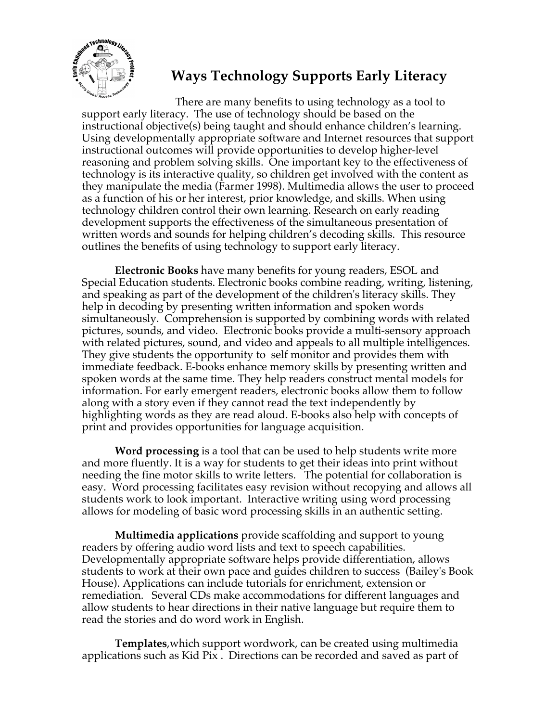

## **Ways Technology Supports Early Literacy**

There are many benefits to using technology as a tool to support early literacy. The use of technology should be based on the instructional objective(s) being taught and should enhance children's learning. Using developmentally appropriate software and Internet resources that support instructional outcomes will provide opportunities to develop higher-level reasoning and problem solving skills. One important key to the effectiveness of technology is its interactive quality, so children get involved with the content as they manipulate the media (Farmer 1998). Multimedia allows the user to proceed as a function of his or her interest, prior knowledge, and skills. When using technology children control their own learning. Research on early reading development supports the effectiveness of the simultaneous presentation of written words and sounds for helping children's decoding skills. This resource outlines the benefits of using technology to support early literacy.

**Electronic Books** have many benefits for young readers, ESOL and Special Education students. Electronic books combine reading, writing, listening, and speaking as part of the development of the children's literacy skills. They help in decoding by presenting written information and spoken words simultaneously. Comprehension is supported by combining words with related pictures, sounds, and video. Electronic books provide a multi-sensory approach with related pictures, sound, and video and appeals to all multiple intelligences. They give students the opportunity to self monitor and provides them with immediate feedback. E-books enhance memory skills by presenting written and spoken words at the same time. They help readers construct mental models for information. For early emergent readers, electronic books allow them to follow along with a story even if they cannot read the text independently by highlighting words as they are read aloud. E-books also help with concepts of print and provides opportunities for language acquisition.

**Word processing** is a tool that can be used to help students write more and more fluently. It is a way for students to get their ideas into print without needing the fine motor skills to write letters. The potential for collaboration is easy. Word processing facilitates easy revision without recopying and allows all students work to look important. Interactive writing using word processing allows for modeling of basic word processing skills in an authentic setting.

**Multimedia applications** provide scaffolding and support to young readers by offering audio word lists and text to speech capabilities. Developmentally appropriate software helps provide differentiation, allows students to work at their own pace and guides children to success (Bailey's Book House). Applications can include tutorials for enrichment, extension or remediation. Several CDs make accommodations for different languages and allow students to hear directions in their native language but require them to read the stories and do word work in English.

**Templates**,which support wordwork, can be created using multimedia applications such as Kid Pix . Directions can be recorded and saved as part of